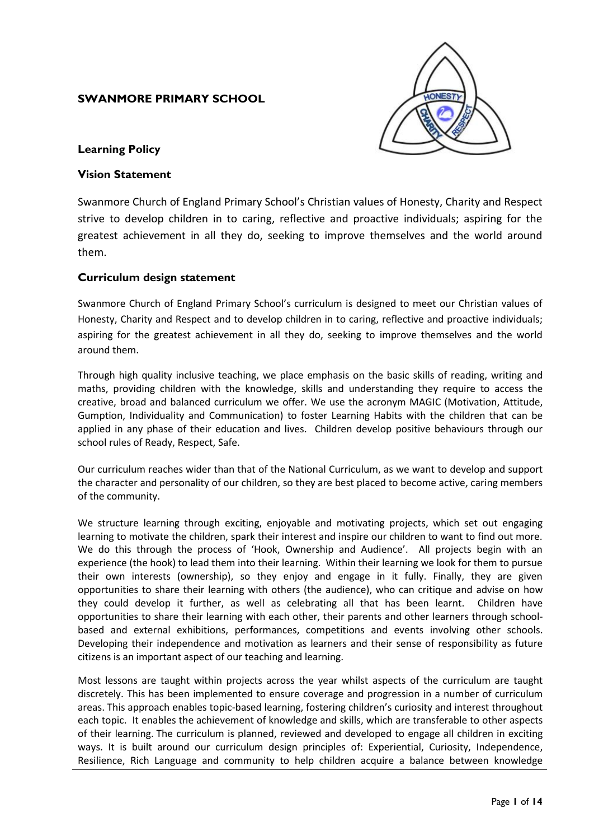# **SWANMORE PRIMARY SCHOOL**



## **Learning Policy**

### **Vision Statement**

Swanmore Church of England Primary School's Christian values of Honesty, Charity and Respect strive to develop children in to caring, reflective and proactive individuals; aspiring for the greatest achievement in all they do, seeking to improve themselves and the world around them.

### **Curriculum design statement**

Swanmore Church of England Primary School's curriculum is designed to meet our Christian values of Honesty, Charity and Respect and to develop children in to caring, reflective and proactive individuals; aspiring for the greatest achievement in all they do, seeking to improve themselves and the world around them.

Through high quality inclusive teaching, we place emphasis on the basic skills of reading, writing and maths, providing children with the knowledge, skills and understanding they require to access the creative, broad and balanced curriculum we offer. We use the acronym MAGIC (Motivation, Attitude, Gumption, Individuality and Communication) to foster Learning Habits with the children that can be applied in any phase of their education and lives. Children develop positive behaviours through our school rules of Ready, Respect, Safe.

Our curriculum reaches wider than that of the National Curriculum, as we want to develop and support the character and personality of our children, so they are best placed to become active, caring members of the community.

We structure learning through exciting, enjoyable and motivating projects, which set out engaging learning to motivate the children, spark their interest and inspire our children to want to find out more. We do this through the process of 'Hook, Ownership and Audience'. All projects begin with an experience (the hook) to lead them into their learning. Within their learning we look for them to pursue their own interests (ownership), so they enjoy and engage in it fully. Finally, they are given opportunities to share their learning with others (the audience), who can critique and advise on how they could develop it further, as well as celebrating all that has been learnt. Children have opportunities to share their learning with each other, their parents and other learners through schoolbased and external exhibitions, performances, competitions and events involving other schools. Developing their independence and motivation as learners and their sense of responsibility as future citizens is an important aspect of our teaching and learning.

Most lessons are taught within projects across the year whilst aspects of the curriculum are taught discretely. This has been implemented to ensure coverage and progression in a number of curriculum areas. This approach enables topic-based learning, fostering children's curiosity and interest throughout each topic. It enables the achievement of knowledge and skills, which are transferable to other aspects of their learning. The curriculum is planned, reviewed and developed to engage all children in exciting ways. It is built around our curriculum design principles of: Experiential, Curiosity, Independence, Resilience, Rich Language and community to help children acquire a balance between knowledge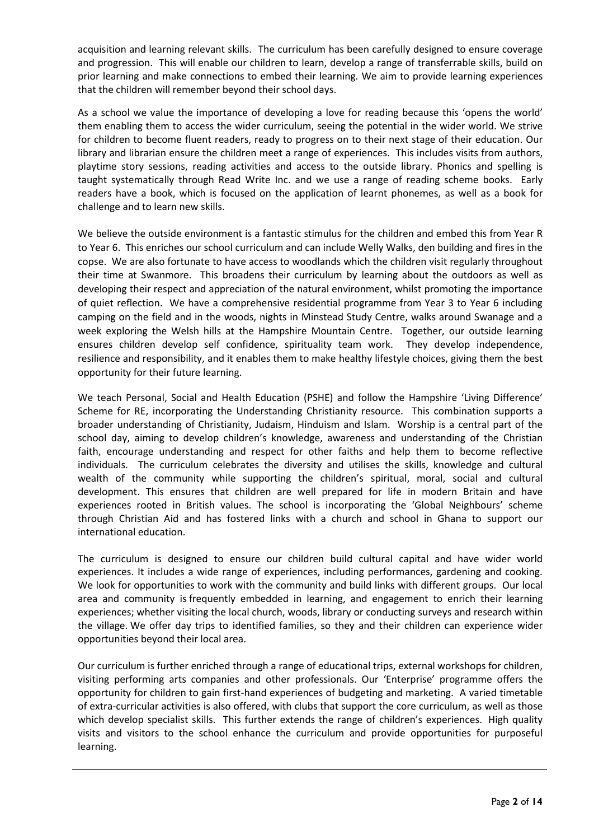acquisition and learning relevant skills. The curriculum has been carefully designed to ensure coverage and progression. This will enable our children to learn, develop a range of transferrable skills, build on prior learning and make connections to embed their learning. We aim to provide learning experiences that the children will remember beyond their school days.

As a school we value the importance of developing a love for reading because this 'opens the world' them enabling them to access the wider curriculum, seeing the potential in the wider world. We strive for children to become fluent readers, ready to progress on to their next stage of their education. Our library and librarian ensure the children meet a range of experiences. This includes visits from authors, playtime story sessions, reading activities and access to the outside library. Phonics and spelling is taught systematically through Read Write Inc. and we use a range of reading scheme books. Early readers have a book, which is focused on the application of learnt phonemes, as well as a book for challenge and to learn new skills.

We believe the outside environment is a fantastic stimulus for the children and embed this from Year R to Year 6. This enriches our school curriculum and can include Welly Walks, den building and fires in the copse. We are also fortunate to have access to woodlands which the children visit regularly throughout their time at Swanmore. This broadens their curriculum by learning about the outdoors as well as developing their respect and appreciation of the natural environment, whilst promoting the importance of quiet reflection. We have a comprehensive residential programme from Year 3 to Year 6 including camping on the field and in the woods, nights in Minstead Study Centre, walks around Swanage and a week exploring the Welsh hills at the Hampshire Mountain Centre. Together, our outside learning ensures children develop self confidence, spirituality team work. They develop independence, resilience and responsibility, and it enables them to make healthy lifestyle choices, giving them the best opportunity for their future learning.

We teach Personal, Social and Health Education (PSHE) and follow the Hampshire 'Living Difference' Scheme for RE, incorporating the Understanding Christianity resource. This combination supports a broader understanding of Christianity, Judaism, Hinduism and Islam. Worship is a central part of the school day, aiming to develop children's knowledge, awareness and understanding of the Christian faith, encourage understanding and respect for other faiths and help them to become reflective individuals. The curriculum celebrates the diversity and utilises the skills, knowledge and cultural wealth of the community while supporting the children's spiritual, moral, social and cultural development. This ensures that children are well prepared for life in modern Britain and have experiences rooted in British values. The school is incorporating the 'Global Neighbours' scheme through Christian Aid and has fostered links with a church and school in Ghana to support our international education.

The curriculum is designed to ensure our children build cultural capital and have wider world experiences. It includes a wide range of experiences, including performances, gardening and cooking. We look for opportunities to work with the community and build links with different groups. Our local area and community is frequently embedded in learning, and engagement to enrich their learning experiences; whether visiting the local church, woods, library or conducting surveys and research within the village. We offer day trips to identified families, so they and their children can experience wider opportunities beyond their local area.

Our curriculum is further enriched through a range of educational trips, external workshops for children, visiting performing arts companies and other professionals. Our 'Enterprise' programme offers the opportunity for children to gain first-hand experiences of budgeting and marketing. A varied timetable of extra-curricular activities is also offered, with clubs that support the core curriculum, as well as those which develop specialist skills. This further extends the range of children's experiences. High quality visits and visitors to the school enhance the curriculum and provide opportunities for purposeful learning.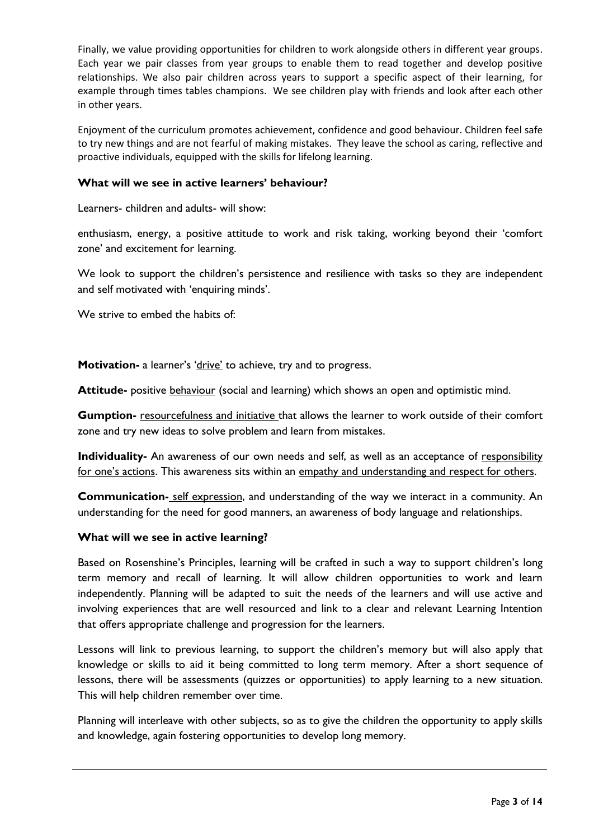Finally, we value providing opportunities for children to work alongside others in different year groups. Each year we pair classes from year groups to enable them to read together and develop positive relationships. We also pair children across years to support a specific aspect of their learning, for example through times tables champions. We see children play with friends and look after each other in other years.

Enjoyment of the curriculum promotes achievement, confidence and good behaviour. Children feel safe to try new things and are not fearful of making mistakes. They leave the school as caring, reflective and proactive individuals, equipped with the skills for lifelong learning.

### **What will we see in active learners' behaviour?**

Learners- children and adults- will show:

enthusiasm, energy, a positive attitude to work and risk taking, working beyond their 'comfort zone' and excitement for learning.

We look to support the children's persistence and resilience with tasks so they are independent and self motivated with 'enquiring minds'.

We strive to embed the habits of

**Motivation-** a learner's 'drive' to achieve, try and to progress.

**Attitude-** positive behaviour (social and learning) which shows an open and optimistic mind.

**Gumption-** resourcefulness and initiative that allows the learner to work outside of their comfort zone and try new ideas to solve problem and learn from mistakes.

**Individuality-** An awareness of our own needs and self, as well as an acceptance of responsibility for one's actions. This awareness sits within an empathy and understanding and respect for others.

**Communication-** self expression, and understanding of the way we interact in a community. An understanding for the need for good manners, an awareness of body language and relationships.

### **What will we see in active learning?**

Based on Rosenshine's Principles, learning will be crafted in such a way to support children's long term memory and recall of learning. It will allow children opportunities to work and learn independently. Planning will be adapted to suit the needs of the learners and will use active and involving experiences that are well resourced and link to a clear and relevant Learning Intention that offers appropriate challenge and progression for the learners.

Lessons will link to previous learning, to support the children's memory but will also apply that knowledge or skills to aid it being committed to long term memory. After a short sequence of lessons, there will be assessments (quizzes or opportunities) to apply learning to a new situation. This will help children remember over time.

Planning will interleave with other subjects, so as to give the children the opportunity to apply skills and knowledge, again fostering opportunities to develop long memory.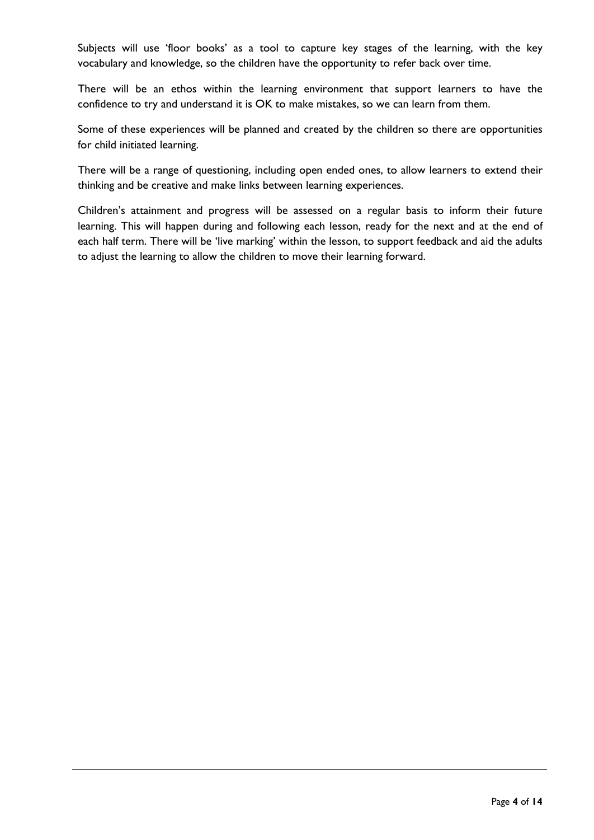Subjects will use 'floor books' as a tool to capture key stages of the learning, with the key vocabulary and knowledge, so the children have the opportunity to refer back over time.

There will be an ethos within the learning environment that support learners to have the confidence to try and understand it is OK to make mistakes, so we can learn from them.

Some of these experiences will be planned and created by the children so there are opportunities for child initiated learning.

There will be a range of questioning, including open ended ones, to allow learners to extend their thinking and be creative and make links between learning experiences.

Children's attainment and progress will be assessed on a regular basis to inform their future learning. This will happen during and following each lesson, ready for the next and at the end of each half term. There will be 'live marking' within the lesson, to support feedback and aid the adults to adjust the learning to allow the children to move their learning forward.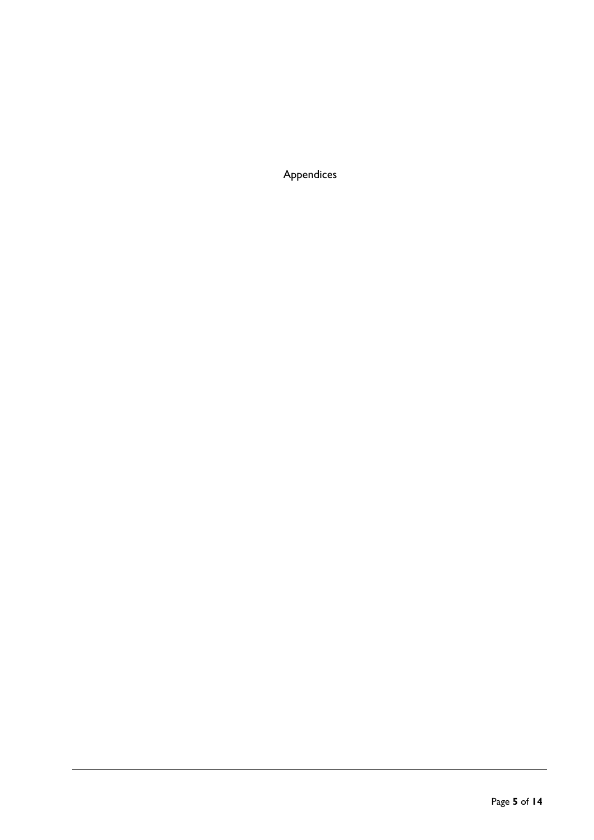Appendices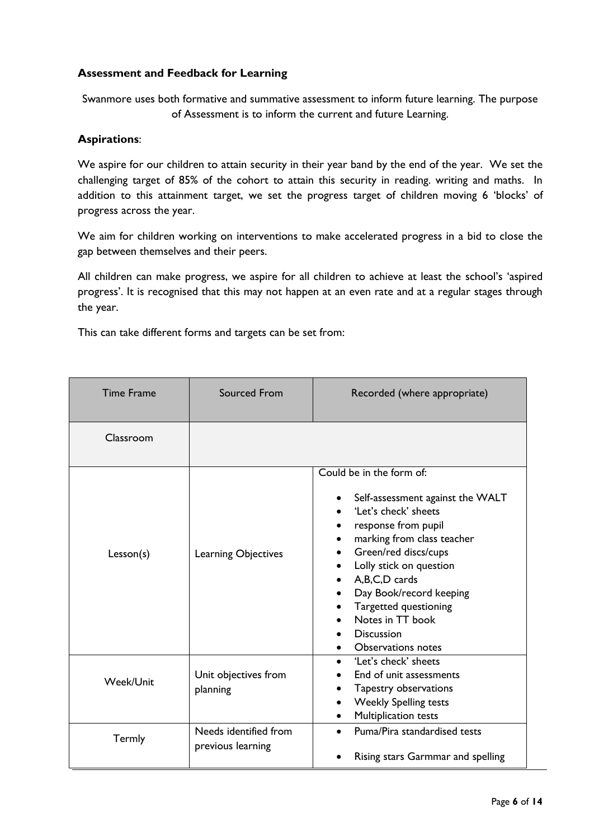# **Assessment and Feedback for Learning**

Swanmore uses both formative and summative assessment to inform future learning. The purpose of Assessment is to inform the current and future Learning.

### **Aspirations**:

We aspire for our children to attain security in their year band by the end of the year. We set the challenging target of 85% of the cohort to attain this security in reading. writing and maths. In addition to this attainment target, we set the progress target of children moving 6 'blocks' of progress across the year.

We aim for children working on interventions to make accelerated progress in a bid to close the gap between themselves and their peers.

All children can make progress, we aspire for all children to achieve at least the school's 'aspired progress'. It is recognised that this may not happen at an even rate and at a regular stages through the year.

This can take different forms and targets can be set from:

| <b>Time Frame</b> | Sourced From                               | Recorded (where appropriate)                                                                                                                                                                                                                                                                                                                                                |
|-------------------|--------------------------------------------|-----------------------------------------------------------------------------------------------------------------------------------------------------------------------------------------------------------------------------------------------------------------------------------------------------------------------------------------------------------------------------|
| Classroom         |                                            |                                                                                                                                                                                                                                                                                                                                                                             |
| Lesson(s)         | Learning Objectives                        | Could be in the form of:<br>Self-assessment against the WALT<br>'Let's check' sheets<br>response from pupil<br>٠<br>marking from class teacher<br>٠<br>Green/red discs/cups<br>Lolly stick on question<br>A,B,C,D cards<br>$\bullet$<br>Day Book/record keeping<br>Targetted questioning<br>Notes in TT book<br><b>Discussion</b><br><b>Observations notes</b><br>$\bullet$ |
| Week/Unit         | Unit objectives from<br>planning           | 'Let's check' sheets<br>$\bullet$<br>End of unit assessments<br>Tapestry observations<br>$\bullet$<br><b>Weekly Spelling tests</b><br>Multiplication tests                                                                                                                                                                                                                  |
| Termly            | Needs identified from<br>previous learning | Puma/Pira standardised tests<br>Rising stars Garmmar and spelling                                                                                                                                                                                                                                                                                                           |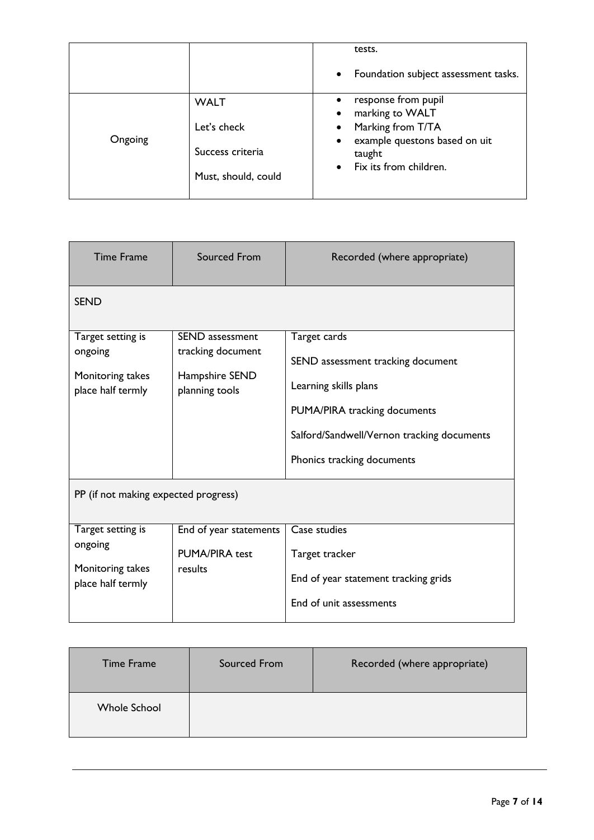|         |                     |                        | tests.                                  |
|---------|---------------------|------------------------|-----------------------------------------|
|         |                     | $\bullet$              | Foundation subject assessment tasks.    |
| Ongoing | <b>WALT</b>         | $\bullet$<br>$\bullet$ | response from pupil<br>marking to WALT  |
|         | Let's check         | $\bullet$              | Marking from T/TA                       |
|         | Success criteria    | $\bullet$              | example questons based on uit<br>taught |
|         | Must, should, could | $\bullet$              | Fix its from children.                  |
|         |                     |                        |                                         |

| <b>Time Frame</b>                     | Sourced From                         | Recorded (where appropriate)                          |
|---------------------------------------|--------------------------------------|-------------------------------------------------------|
| <b>SEND</b>                           |                                      |                                                       |
| Target setting is<br>ongoing          | SEND assessment<br>tracking document | Target cards<br>SEND assessment tracking document     |
| Monitoring takes<br>place half termly | Hampshire SEND<br>planning tools     | Learning skills plans<br>PUMA/PIRA tracking documents |
|                                       |                                      | Salford/Sandwell/Vernon tracking documents            |
|                                       |                                      | Phonics tracking documents                            |
| PP (if not making expected progress)  |                                      |                                                       |
| Target setting is                     | End of year statements               | Case studies                                          |
| ongoing                               | <b>PUMA/PIRA</b> test                | Target tracker                                        |
| Monitoring takes<br>place half termly | results                              | End of year statement tracking grids                  |
|                                       |                                      | End of unit assessments                               |

| <b>Time Frame</b>   | Sourced From | Recorded (where appropriate) |
|---------------------|--------------|------------------------------|
| <b>Whole School</b> |              |                              |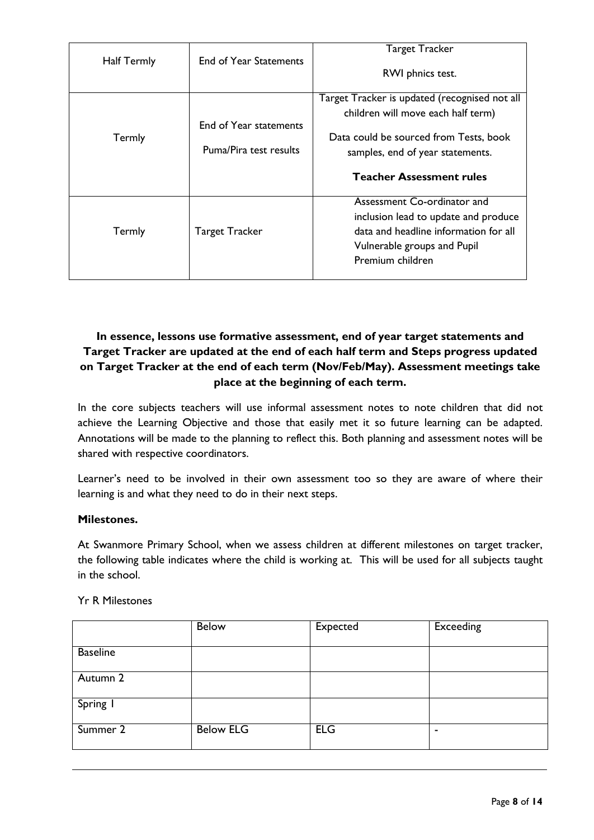| Half Termly | <b>End of Year Statements</b>                    | <b>Target Tracker</b><br>RWI phnics test.                                                                                                                                                            |
|-------------|--------------------------------------------------|------------------------------------------------------------------------------------------------------------------------------------------------------------------------------------------------------|
| Termly      | End of Year statements<br>Puma/Pira test results | Target Tracker is updated (recognised not all<br>children will move each half term)<br>Data could be sourced from Tests, book<br>samples, end of year statements.<br><b>Teacher Assessment rules</b> |
| Termly      | Target Tracker                                   | Assessment Co-ordinator and<br>inclusion lead to update and produce<br>data and headline information for all<br>Vulnerable groups and Pupil<br>Premium children                                      |

# **In essence, lessons use formative assessment, end of year target statements and Target Tracker are updated at the end of each half term and Steps progress updated on Target Tracker at the end of each term (Nov/Feb/May). Assessment meetings take place at the beginning of each term.**

In the core subjects teachers will use informal assessment notes to note children that did not achieve the Learning Objective and those that easily met it so future learning can be adapted. Annotations will be made to the planning to reflect this. Both planning and assessment notes will be shared with respective coordinators.

Learner's need to be involved in their own assessment too so they are aware of where their learning is and what they need to do in their next steps.

# **Milestones.**

At Swanmore Primary School, when we assess children at different milestones on target tracker, the following table indicates where the child is working at. This will be used for all subjects taught in the school.

|                 | <b>Below</b>     | Expected   | <b>Exceeding</b> |
|-----------------|------------------|------------|------------------|
| <b>Baseline</b> |                  |            |                  |
| Autumn 2        |                  |            |                  |
| Spring I        |                  |            |                  |
| Summer 2        | <b>Below ELG</b> | <b>ELG</b> | $\blacksquare$   |

### Yr R Milestones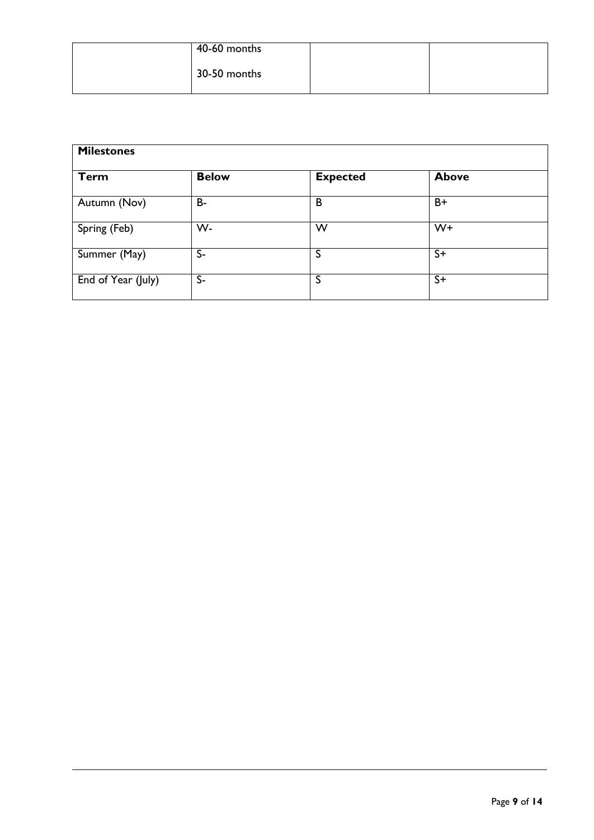| 40-60 months |  |
|--------------|--|
| 30-50 months |  |

| <b>Milestones</b>  |              |                 |              |  |
|--------------------|--------------|-----------------|--------------|--|
| <b>Term</b>        | <b>Below</b> | <b>Expected</b> | <b>Above</b> |  |
| Autumn (Nov)       | <b>B-</b>    | B               | $B+$         |  |
| Spring (Feb)       | W-           | W               | $W+$         |  |
| Summer (May)       | $S-$         | S               | $S+$         |  |
| End of Year (July) | $S-$         | S               | $S+$         |  |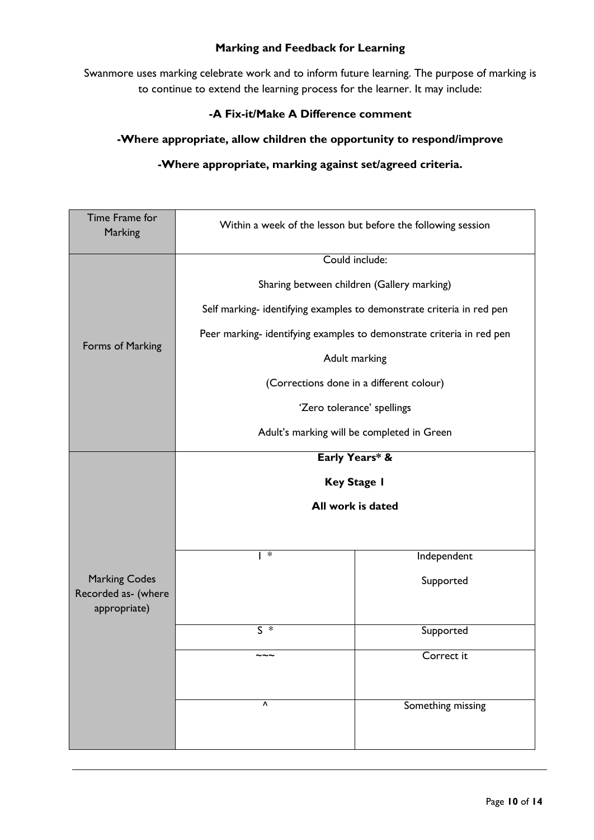# **Marking and Feedback for Learning**

Swanmore uses marking celebrate work and to inform future learning. The purpose of marking is to continue to extend the learning process for the learner. It may include:

# **-A Fix-it/Make A Difference comment**

# **-Where appropriate, allow children the opportunity to respond/improve**

# **-Where appropriate, marking against set/agreed criteria.**

| Time Frame for<br>Marking           | Within a week of the lesson but before the following session          |                                            |
|-------------------------------------|-----------------------------------------------------------------------|--------------------------------------------|
|                                     |                                                                       | Could include:                             |
|                                     |                                                                       | Sharing between children (Gallery marking) |
|                                     | Self marking- identifying examples to demonstrate criteria in red pen |                                            |
| Forms of Marking                    | Peer marking- identifying examples to demonstrate criteria in red pen |                                            |
|                                     |                                                                       | Adult marking                              |
|                                     |                                                                       | (Corrections done in a different colour)   |
|                                     |                                                                       | 'Zero tolerance' spellings                 |
|                                     | Adult's marking will be completed in Green                            |                                            |
|                                     | Early Years* &                                                        |                                            |
|                                     | <b>Key Stage I</b>                                                    |                                            |
|                                     | All work is dated                                                     |                                            |
|                                     |                                                                       |                                            |
|                                     | $\ast$                                                                | Independent                                |
| <b>Marking Codes</b>                |                                                                       | Supported                                  |
| Recorded as- (where<br>appropriate) |                                                                       |                                            |
|                                     | $\overline{\mathsf{S}^*}$                                             | Supported                                  |
|                                     |                                                                       |                                            |
|                                     |                                                                       | Correct it                                 |
|                                     |                                                                       |                                            |
|                                     | Λ                                                                     | Something missing                          |
|                                     |                                                                       |                                            |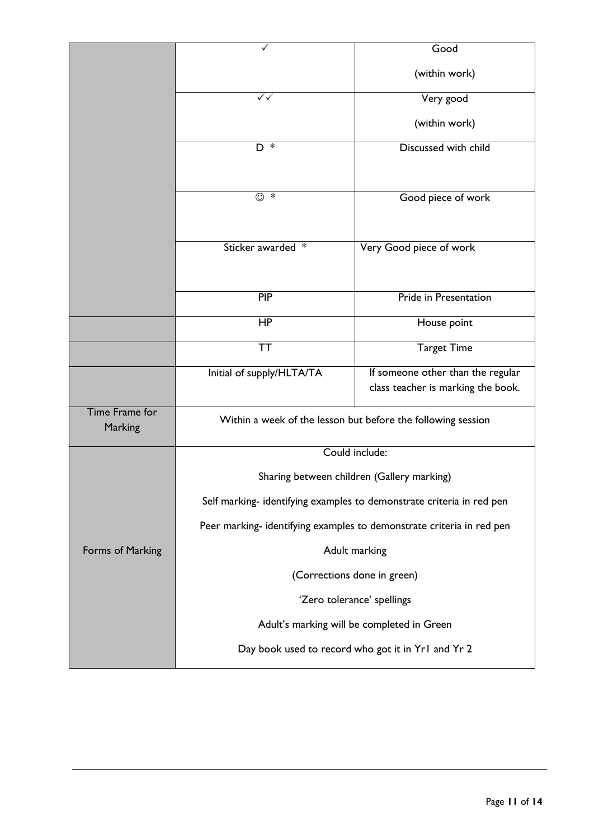|                                  |                           | Good                                                                    |
|----------------------------------|---------------------------|-------------------------------------------------------------------------|
|                                  |                           | (within work)                                                           |
|                                  | $\checkmark$              | Very good                                                               |
|                                  |                           | (within work)                                                           |
|                                  | $\ast$<br>D.              | Discussed with child                                                    |
|                                  |                           |                                                                         |
|                                  | $_{\odot}$<br>$\ast$      | Good piece of work                                                      |
|                                  |                           |                                                                         |
|                                  | Sticker awarded *         | Very Good piece of work                                                 |
|                                  |                           |                                                                         |
|                                  | PIP                       | <b>Pride in Presentation</b>                                            |
|                                  | $\overline{HP}$           | House point                                                             |
|                                  | <b>TT</b>                 | <b>Target Time</b>                                                      |
|                                  | Initial of supply/HLTA/TA | If someone other than the regular<br>class teacher is marking the book. |
| <b>Time Frame for</b><br>Marking |                           | Within a week of the lesson but before the following session            |
|                                  |                           | Could include:                                                          |
|                                  |                           | Sharing between children (Gallery marking)                              |
|                                  |                           | Self marking- identifying examples to demonstrate criteria in red pen   |
|                                  |                           | Peer marking- identifying examples to demonstrate criteria in red pen   |
| Forms of Marking                 |                           | Adult marking                                                           |
|                                  |                           | (Corrections done in green)                                             |
|                                  |                           | 'Zero tolerance' spellings                                              |
|                                  |                           | Adult's marking will be completed in Green                              |
|                                  |                           | Day book used to record who got it in Yr1 and Yr 2                      |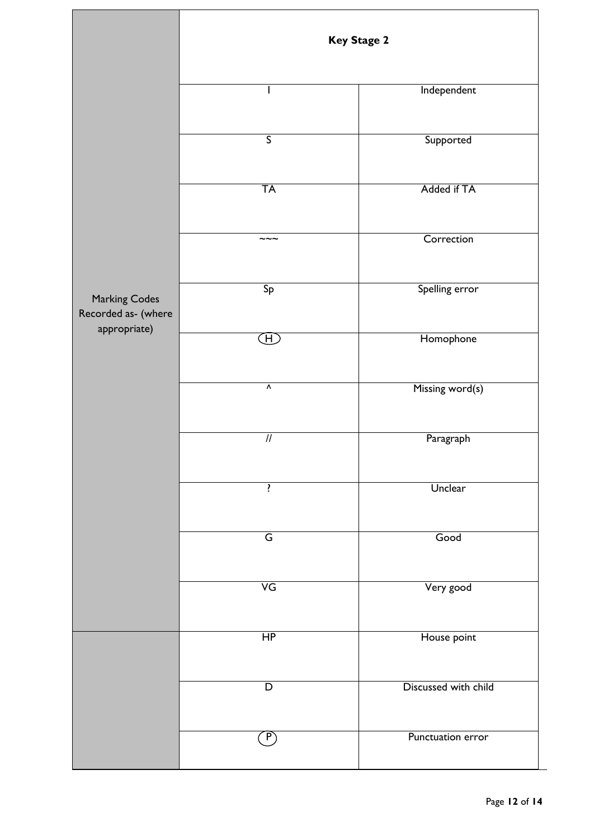|                                      | <b>Key Stage 2</b>        |                      |
|--------------------------------------|---------------------------|----------------------|
|                                      |                           | Independent          |
|                                      | $\overline{\mathsf{S}}$   | Supported            |
|                                      | <b>TA</b>                 | Added if TA          |
|                                      | $\widetilde{\phantom{a}}$ | Correction           |
| Marking Codes<br>Recorded as- (where | Sp                        | Spelling error       |
| appropriate)                         | $\bigoplus$               | Homophone            |
|                                      | $\lambda$                 | Missing word(s)      |
|                                      | $\overline{\mathcal{U}}$  | Paragraph            |
|                                      | ŗ                         | Unclear              |
|                                      | G                         | Good                 |
|                                      | $\overline{\mathsf{VG}}$  | Very good            |
|                                      | HP                        | House point          |
|                                      | $\overline{\mathsf{D}}$   | Discussed with child |
|                                      | (P)                       | Punctuation error    |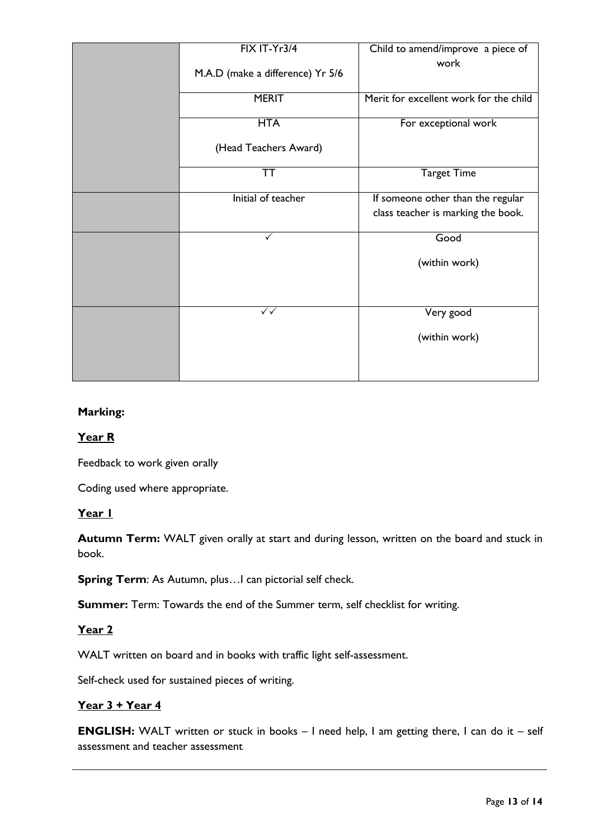| FIX IT-Yr3/4                     | Child to amend/improve a piece of      |
|----------------------------------|----------------------------------------|
| M.A.D (make a difference) Yr 5/6 | work                                   |
| <b>MERIT</b>                     | Merit for excellent work for the child |
| <b>HTA</b>                       | For exceptional work                   |
| (Head Teachers Award)            |                                        |
| TT                               | <b>Target Time</b>                     |
| Initial of teacher               | If someone other than the regular      |
|                                  | class teacher is marking the book.     |
| ✓                                | Good                                   |
|                                  | (within work)                          |
|                                  |                                        |
| $\checkmark$                     | Very good                              |
|                                  | (within work)                          |
|                                  |                                        |

## **Marking:**

### **Year R**

Feedback to work given orally

Coding used where appropriate.

## **Year 1**

**Autumn Term:** WALT given orally at start and during lesson, written on the board and stuck in book.

**Spring Term**: As Autumn, plus…I can pictorial self check.

**Summer:** Term: Towards the end of the Summer term, self checklist for writing.

## **Year 2**

WALT written on board and in books with traffic light self-assessment.

Self-check used for sustained pieces of writing.

## **Year 3 + Year 4**

**ENGLISH:** WALT written or stuck in books - I need help, I am getting there, I can do it - self assessment and teacher assessment